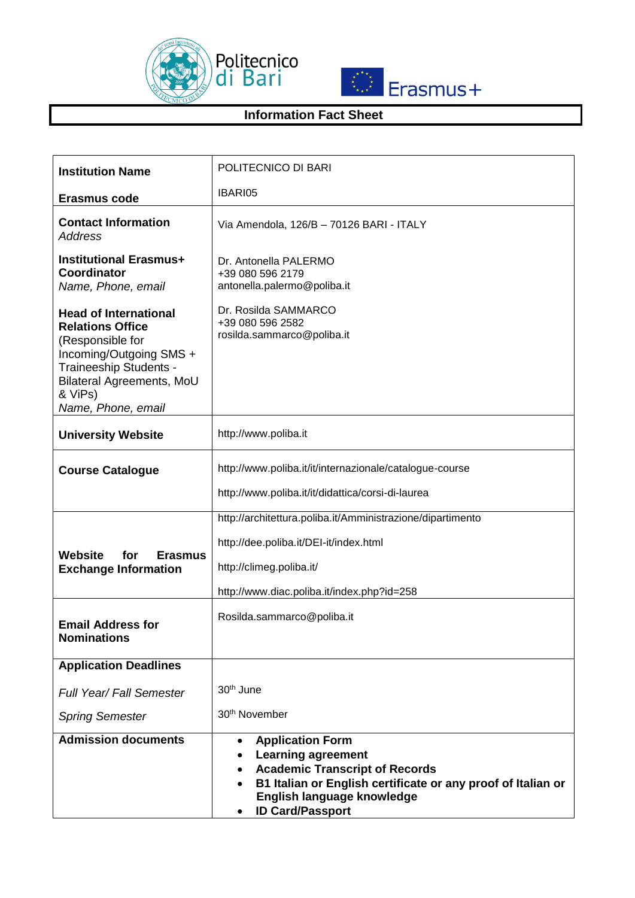



## **Information Fact Sheet**

| <b>Institution Name</b>                                                                                                                                                                        | POLITECNICO DI BARI                                                                                                                                                                                                                 |
|------------------------------------------------------------------------------------------------------------------------------------------------------------------------------------------------|-------------------------------------------------------------------------------------------------------------------------------------------------------------------------------------------------------------------------------------|
| <b>Erasmus code</b>                                                                                                                                                                            | IBARI05                                                                                                                                                                                                                             |
| <b>Contact Information</b><br><b>Address</b>                                                                                                                                                   | Via Amendola, 126/B - 70126 BARI - ITALY                                                                                                                                                                                            |
| <b>Institutional Erasmus+</b><br><b>Coordinator</b><br>Name, Phone, email                                                                                                                      | Dr. Antonella PALERMO<br>+39 080 596 2179<br>antonella.palermo@poliba.it                                                                                                                                                            |
| <b>Head of International</b><br><b>Relations Office</b><br>(Responsible for<br>Incoming/Outgoing SMS +<br>Traineeship Students -<br>Bilateral Agreements, MoU<br>& ViPs)<br>Name, Phone, email | Dr. Rosilda SAMMARCO<br>+39 080 596 2582<br>rosilda.sammarco@poliba.it                                                                                                                                                              |
| <b>University Website</b>                                                                                                                                                                      | http://www.poliba.it                                                                                                                                                                                                                |
| <b>Course Catalogue</b>                                                                                                                                                                        | http://www.poliba.it/it/internazionale/catalogue-course<br>http://www.poliba.it/it/didattica/corsi-di-laurea                                                                                                                        |
|                                                                                                                                                                                                | http://architettura.poliba.it/Amministrazione/dipartimento                                                                                                                                                                          |
| Website<br>for<br><b>Erasmus</b><br><b>Exchange Information</b>                                                                                                                                | http://dee.poliba.it/DEI-it/index.html<br>http://climeg.poliba.it/<br>http://www.diac.poliba.it/index.php?id=258                                                                                                                    |
| <b>Email Address for</b><br><b>Nominations</b>                                                                                                                                                 | Rosilda.sammarco@poliba.it                                                                                                                                                                                                          |
| <b>Application Deadlines</b>                                                                                                                                                                   |                                                                                                                                                                                                                                     |
| Full Year/ Fall Semester                                                                                                                                                                       | 30 <sup>th</sup> June                                                                                                                                                                                                               |
| <b>Spring Semester</b>                                                                                                                                                                         | 30 <sup>th</sup> November                                                                                                                                                                                                           |
| <b>Admission documents</b>                                                                                                                                                                     | <b>Application Form</b><br>$\bullet$<br><b>Learning agreement</b><br><b>Academic Transcript of Records</b><br>B1 Italian or English certificate or any proof of Italian or<br>English language knowledge<br><b>ID Card/Passport</b> |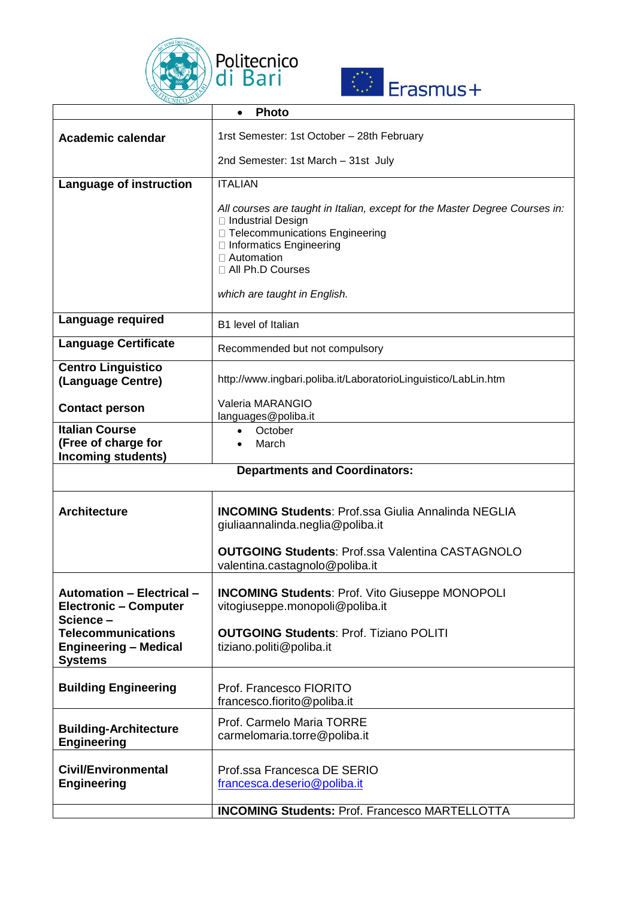



|                                                                                                                                                             | <b>Photo</b>                                                                                                                                                                                                   |  |
|-------------------------------------------------------------------------------------------------------------------------------------------------------------|----------------------------------------------------------------------------------------------------------------------------------------------------------------------------------------------------------------|--|
| <b>Academic calendar</b>                                                                                                                                    | 1rst Semester: 1st October - 28th February                                                                                                                                                                     |  |
|                                                                                                                                                             | 2nd Semester: 1st March - 31st July                                                                                                                                                                            |  |
| Language of instruction                                                                                                                                     | <b>ITALIAN</b>                                                                                                                                                                                                 |  |
|                                                                                                                                                             | All courses are taught in Italian, except for the Master Degree Courses in:<br>□ Industrial Design<br>□ Telecommunications Engineering<br>□ Informatics Engineering<br>$\Box$ Automation<br>□ All Ph.D Courses |  |
|                                                                                                                                                             | which are taught in English.                                                                                                                                                                                   |  |
| Language required                                                                                                                                           | B1 level of Italian                                                                                                                                                                                            |  |
| <b>Language Certificate</b>                                                                                                                                 | Recommended but not compulsory                                                                                                                                                                                 |  |
| <b>Centro Linguistico</b><br>(Language Centre)                                                                                                              | http://www.ingbari.poliba.it/LaboratorioLinguistico/LabLin.htm                                                                                                                                                 |  |
| <b>Contact person</b>                                                                                                                                       | Valeria MARANGIO<br>languages@poliba.it                                                                                                                                                                        |  |
| <b>Italian Course</b><br>(Free of charge for<br><b>Incoming students)</b>                                                                                   | October<br>March                                                                                                                                                                                               |  |
| <b>Departments and Coordinators:</b>                                                                                                                        |                                                                                                                                                                                                                |  |
| <b>Architecture</b>                                                                                                                                         | <b>INCOMING Students: Prof.ssa Giulia Annalinda NEGLIA</b><br>giuliaannalinda.neglia@poliba.it<br><b>OUTGOING Students: Prof.ssa Valentina CASTAGNOLO</b><br>valentina.castagnolo@poliba.it                    |  |
|                                                                                                                                                             |                                                                                                                                                                                                                |  |
| <b>Automation - Electrical -</b><br><b>Electronic - Computer</b><br>Science-<br><b>Telecommunications</b><br><b>Engineering - Medical</b><br><b>Systems</b> | <b>INCOMING Students: Prof. Vito Giuseppe MONOPOLI</b><br>vitogiuseppe.monopoli@poliba.it<br><b>OUTGOING Students: Prof. Tiziano POLITI</b><br>tiziano.politi@poliba.it                                        |  |
| <b>Building Engineering</b>                                                                                                                                 | Prof. Francesco FIORITO<br>francesco.fiorito@poliba.it                                                                                                                                                         |  |
| <b>Building-Architecture</b><br><b>Engineering</b>                                                                                                          | Prof. Carmelo Maria TORRE<br>carmelomaria.torre@poliba.it                                                                                                                                                      |  |
| <b>Civil/Environmental</b><br><b>Engineering</b>                                                                                                            | Prof.ssa Francesca DE SERIO<br>francesca.deserio@poliba.it                                                                                                                                                     |  |
|                                                                                                                                                             | <b>INCOMING Students: Prof. Francesco MARTELLOTTA</b>                                                                                                                                                          |  |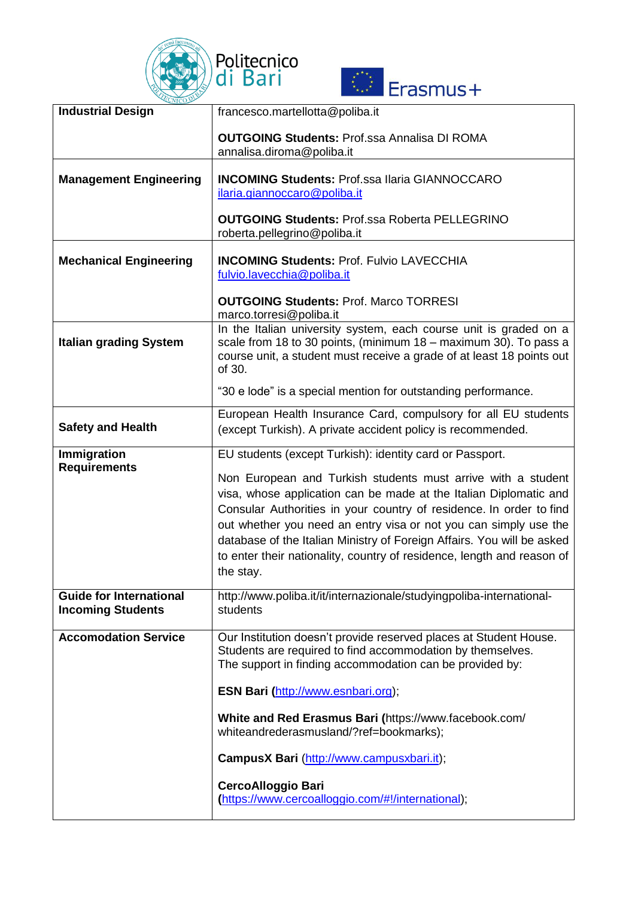



| <b>Industrial Design</b>                                   | francesco.martellotta@poliba.it                                                                                                                                                                                                                                                                                                                                                                                                               |
|------------------------------------------------------------|-----------------------------------------------------------------------------------------------------------------------------------------------------------------------------------------------------------------------------------------------------------------------------------------------------------------------------------------------------------------------------------------------------------------------------------------------|
|                                                            | <b>OUTGOING Students: Prof.ssa Annalisa DI ROMA</b><br>annalisa.diroma@poliba.it                                                                                                                                                                                                                                                                                                                                                              |
| <b>Management Engineering</b>                              | <b>INCOMING Students: Prof.ssa Ilaria GIANNOCCARO</b><br>ilaria.giannoccaro@poliba.it                                                                                                                                                                                                                                                                                                                                                         |
|                                                            | <b>OUTGOING Students: Prof.ssa Roberta PELLEGRINO</b><br>roberta.pellegrino@poliba.it                                                                                                                                                                                                                                                                                                                                                         |
| <b>Mechanical Engineering</b>                              | <b>INCOMING Students: Prof. Fulvio LAVECCHIA</b><br>fulvio.lavecchia@poliba.it                                                                                                                                                                                                                                                                                                                                                                |
|                                                            | <b>OUTGOING Students: Prof. Marco TORRESI</b><br>marco.torresi@poliba.it                                                                                                                                                                                                                                                                                                                                                                      |
| <b>Italian grading System</b>                              | In the Italian university system, each course unit is graded on a<br>scale from 18 to 30 points, (minimum 18 - maximum 30). To pass a<br>course unit, a student must receive a grade of at least 18 points out<br>of 30.                                                                                                                                                                                                                      |
|                                                            | "30 e lode" is a special mention for outstanding performance.                                                                                                                                                                                                                                                                                                                                                                                 |
| <b>Safety and Health</b>                                   | European Health Insurance Card, compulsory for all EU students<br>(except Turkish). A private accident policy is recommended.                                                                                                                                                                                                                                                                                                                 |
| Immigration<br><b>Requirements</b>                         | EU students (except Turkish): identity card or Passport.                                                                                                                                                                                                                                                                                                                                                                                      |
|                                                            | Non European and Turkish students must arrive with a student<br>visa, whose application can be made at the Italian Diplomatic and<br>Consular Authorities in your country of residence. In order to find<br>out whether you need an entry visa or not you can simply use the<br>database of the Italian Ministry of Foreign Affairs. You will be asked<br>to enter their nationality, country of residence, length and reason of<br>the stay. |
| <b>Guide for International</b><br><b>Incoming Students</b> | http://www.poliba.it/it/internazionale/studyingpoliba-international-<br>students                                                                                                                                                                                                                                                                                                                                                              |
| <b>Accomodation Service</b>                                | Our Institution doesn't provide reserved places at Student House.<br>Students are required to find accommodation by themselves.<br>The support in finding accommodation can be provided by:                                                                                                                                                                                                                                                   |
|                                                            | ESN Bari (http://www.esnbari.org);                                                                                                                                                                                                                                                                                                                                                                                                            |
|                                                            | White and Red Erasmus Bari (https://www.facebook.com/<br>whiteandrederasmusland/?ref=bookmarks);                                                                                                                                                                                                                                                                                                                                              |
|                                                            | CampusX Bari (http://www.campusxbari.it);                                                                                                                                                                                                                                                                                                                                                                                                     |
|                                                            | <b>CercoAlloggio Bari</b><br>(https://www.cercoalloggio.com/#!/international);                                                                                                                                                                                                                                                                                                                                                                |